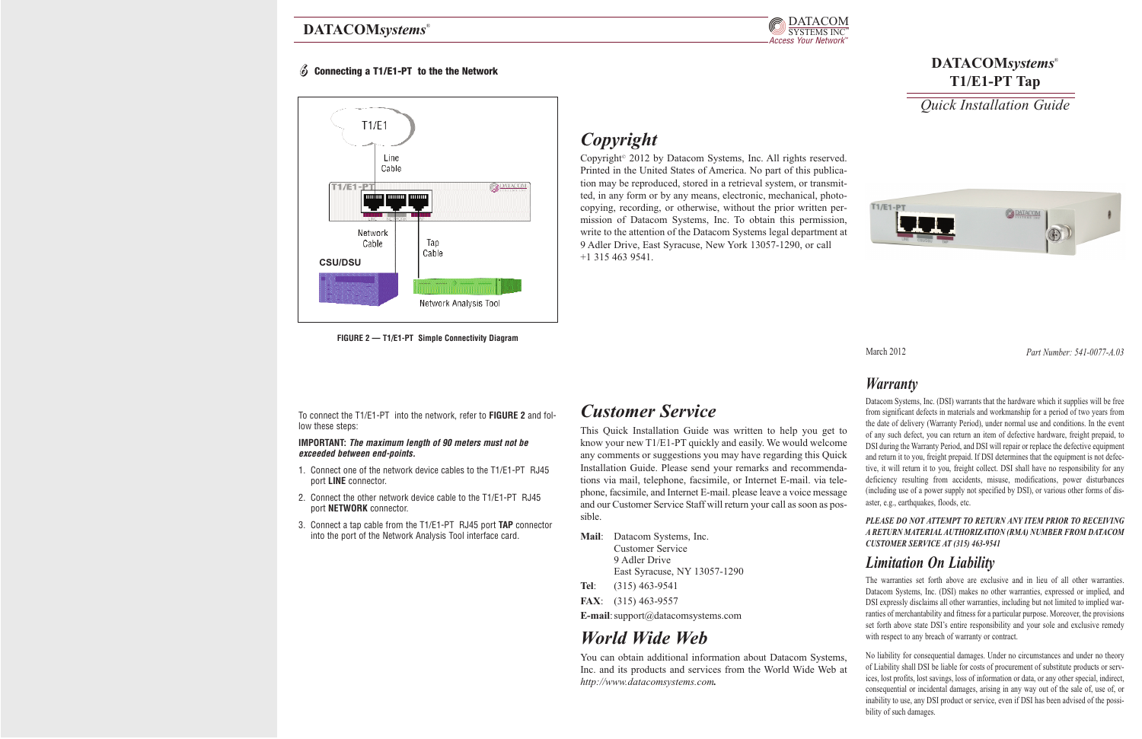### *Warranty*

#### *PLEASE DO NOT ATTEMPT TO RETURN ANY ITEM PRIOR TO RECEIVING A RETURN MATERIAL AUTHORIZATION (RMA) NUMBER FROM DATACOM CUSTOMER SERVICE AT (315) 463-9541*

## *Limitation On Liability*

The warranties set forth above are exclusive and in lieu of all other warranties. Datacom Systems, Inc. (DSI) makes no other warranties, expressed or implied, and DSI expressly disclaims all other warranties, including but not limited to implied warranties of merchantability and fitness for a particular purpose. Moreover, the provisions set forth above state DSI's entire responsibility and your sole and exclusive remedy with respect to any breach of warranty or contract.

Datacom Systems, Inc. (DSI) warrants that the hardware which it supplies will be free from significant defects in materials and workmanship for a period of two years from the date of delivery (Warranty Period), under normal use and conditions. In the event of any such defect, you can return an item of defective hardware, freight prepaid, to DSI during the Warranty Period, and DSI will repair or replace the defective equipment and return it to you, freight prepaid. If DSI determines that the equipment is not defective, it will return it to you, freight collect. DSI shall have no responsibility for any deficiency resulting from accidents, misuse, modifications, power disturbances (including use of a power supply not specified by DSI), or various other forms of disaster, e.g., earthquakes, floods, etc. *Customer Service* This Quick Installation Guide was written to help you get to know your new T1/E1-PT quickly and easily. We would welcome any comments or suggestions you may have regarding this Quick Installation Guide. Please send your remarks and recommendations via mail, telephone, facsimile, or Internet E-mail. via telephone, facsimile, and Internet E-mail. please leave a voice message and our Customer Service Staff will return your call as soon as possible.

### **DATACOM***systems*® **T1/E1-PT Tap**

*Quick Installation Guide*



March 2012 *Part Number: 541-0077-A.03*

### DATACOMsystems®



#### 6 **Connecting a T1/E1-PT to the the Network**

To connect the T1/E1-PT into the network, refer to **FIGURE 2** and follow these steps:

#### **IMPORTANT: The maximum length of 90 meters must not be exceeded between end-points.**

No liability for consequential damages. Under no circumstances and under no theory of Liability shall DSI be liable for costs of procurement of substitute products or services, lost profits, lost savings, loss of information or data, or any other special, indirect, consequential or incidental damages, arising in any way out of the sale of, use of, or inability to use, any DSI product or service, even if DSI has been advised of the possibility of such damages. You can obtain additional information about Datacom Systems, Inc. and its products and services from the World Wide Web at *http://www.datacomsystems.com.*



- 1. Connect one of the network device cables to the T1/E1-PT RJ45 port **LINE** connector.
- 2. Connect the other network device cable to the T1/E1-PT RJ45 port **NETWORK** connector.
- 3. Connect a tap cable from the T1/E1-PT RJ45 port **TAP** connector into the port of the Network Analysis Tool interface card.



**FIGURE 2 — T1/E1-PT Simple Connectivity Diagram**

**Mail**: Datacom Systems, Inc. Customer Service 9 Adler Drive East Syracuse, NY 13057-1290 **Tel**: (315) 463-9541 **FAX**: (315) 463-9557

**E-mail**:support@datacomsystems.com

# *World Wide Web*

# *Copyright*

Copyright© 2012 by Datacom Systems, Inc. All rights reserved. Printed in the United States of America. No part of this publication may be reproduced, stored in a retrieval system, or transmitted, in any form or by any means, electronic, mechanical, photocopying, recording, or otherwise, without the prior written permission of Datacom Systems, Inc. To obtain this permission, write to the attention of the Datacom Systems legal department at 9 Adler Drive, East Syracuse, New York 13057-1290, or call